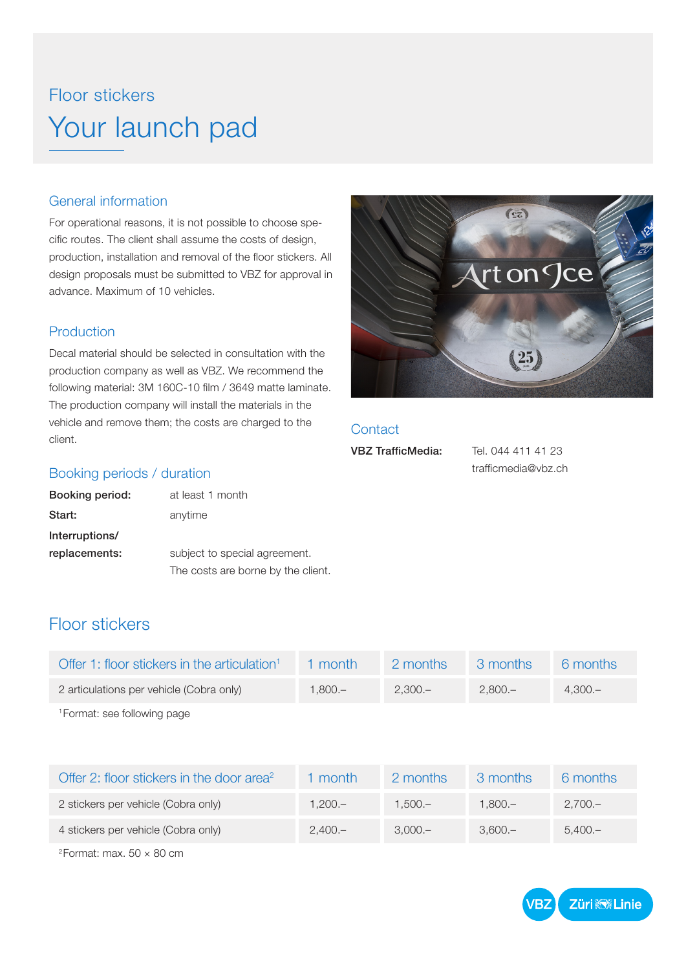## Floor stickers Your launch pad

#### General information

For operational reasons, it is not possible to choose specific routes. The client shall assume the costs of design, production, installation and removal of the floor stickers. All design proposals must be submitted to VBZ for approval in advance. Maximum of 10 vehicles.

#### Production

Decal material should be selected in consultation with the production company as well as VBZ. We recommend the following material: 3M 160C-10 film / 3649 matte laminate. The production company will install the materials in the vehicle and remove them; the costs are charged to the client.



#### **Contact**

VBZ TrafficMedia: Tel. 044 411 41 23 trafficmedia@vbz.ch

#### Booking periods / duration

| Booking period: | at least 1 month                  |  |
|-----------------|-----------------------------------|--|
| Start:          | anytime                           |  |
| Interruptions/  |                                   |  |
| replacements:   | subject to special agreement.     |  |
|                 | The costs are borne by the client |  |

### Floor stickers

| Offer 1: floor stickers in the articulation <sup>1</sup> | 1 month   | 2 months  | 3 months  | 6 months  |
|----------------------------------------------------------|-----------|-----------|-----------|-----------|
| 2 articulations per vehicle (Cobra only)                 | $1.800 -$ | $2.300 -$ | $2.800 -$ | $4.300 -$ |
| <sup>1</sup> Format: see following page                  |           |           |           |           |

Offer 2: floor stickers in the door area<sup>2</sup> 1 month 2 months 3 months 6 months 2 stickers per vehicle (Cobra only) 1,200.– 1,500.– 1,800.– 2,700.– 4 stickers per vehicle (Cobra only) 2,400.– 3,000.– 3,600.– 5,400.–

 $2$ Format: max.  $50 \times 80$  cm